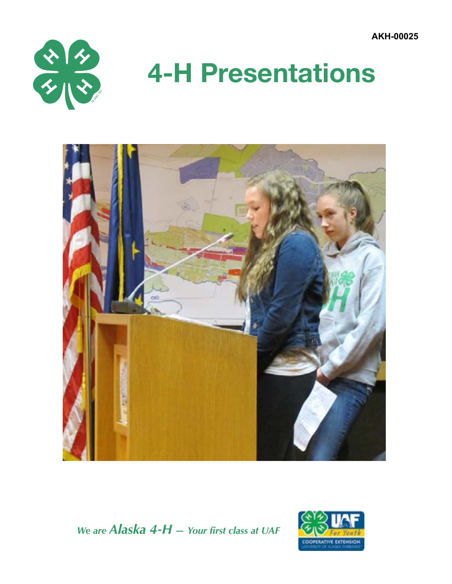**AKH-00025**



# **4-H Presentations**



*We are Alaska 4-H — Your first class at UAF*

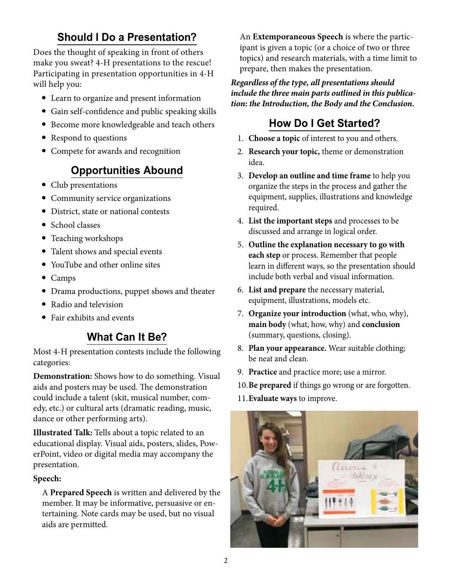### **Should I Do a Presentation?**

Does the thought of speaking in front of others make you sweat? 4-H presentations to the rescue! Participating in presentation opportunities in 4-H will help you:

- Learn to organize and present information
- Gain self-confidence and public speaking skills
- Become more knowledgeable and teach others
- Respond to questions
- Compete for awards and recognition

#### **Opportunities Abound**

- Club presentations
- Community service organizations
- District, state or national contests
- School classes
- Teaching workshops
- Talent shows and special events
- YouTube and other online sites
- Camps
- Drama productions, puppet shows and theater
- Radio and television
- Fair exhibits and events

#### **What Can It Be?**

Most 4-H presentation contests include the following categories:

**Demonstration:** Shows how to do something. Visual aids and posters may be used. The demonstration could include a talent (skit, musical number, comedy, etc.) or cultural arts (dramatic reading, music, dance or other performing arts).

**Illustrated Talk:** Tells about a topic related to an educational display. Visual aids, posters, slides, PowerPoint, video or digital media may accompany the presentation.

#### **Speech:**

A **Prepared Speech** is written and delivered by the member. It may be informative, persuasive or entertaining. Note cards may be used, but no visual aids are permitted.

An **Extemporaneous Speech** is where the participant is given a topic (or a choice of two or three topics) and research materials, with a time limit to prepare, then makes the presentation.

*Regardless of the type, all presentations should include the three main parts outlined in this publication: the Introduction, the Body and the Conclusion.*

#### **How Do I Get Started?**

- 1. **Choose a topic** of interest to you and others.
- 2. **Research your topic,** theme or demonstration idea.
- 3. **Develop an outline and time frame** to help you organize the steps in the process and gather the equipment, supplies, illustrations and knowledge required.
- 4. **List the important steps** and processes to be discussed and arrange in logical order.
- 5. **Outline the explanation necessary to go with each step** or process. Remember that people learn in different ways, so the presentation should include both verbal and visual information.
- 6. **List and prepare** the necessary material, equipment, illustrations, models etc.
- 7. **Organize your introduction** (what, who, why), **main body** (what, how, why) and **conclusion** (summary, questions, closing).
- 8. **Plan your appearance.** Wear suitable clothing; be neat and clean.
- 9. **Practice** and practice more; use a mirror.
- 10.**Be prepared** if things go wrong or are forgotten.
- 11.**Evaluate ways** to improve.

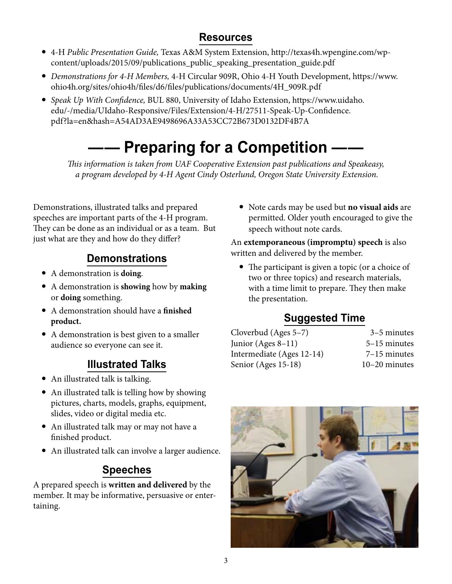#### **Resources**

- 4-H *Public Presentation Guide,* Texas A&M System Extension, http://texas4h.wpengine.com/wpcontent/uploads/2015/09/publications\_public\_speaking\_presentation\_guide.pdf
- *Demonstrations for 4-H Members,* 4-H Circular 909R, Ohio 4-H Youth Development, https://www. ohio4h.org/sites/ohio4h/files/d6/files/publications/documents/4H\_909R.pdf
- *Speak Up With Confidence,* BUL 880, University of Idaho Extension, https://www.uidaho. edu/-/media/UIdaho-Responsive/Files/Extension/4-H/27511-Speak-Up-Confidence. pdf?la=en&hash=A54AD3AE9498696A33A53CC72B673D0132DF4B7A

# **- Preparing for a Competition**

*This information is taken from UAF Cooperative Extension past publications and Speakeasy, a program developed by 4-H Agent Cindy Osterlund, Oregon State University Extension.*

Demonstrations, illustrated talks and prepared speeches are important parts of the 4-H program. They can be done as an individual or as a team. But just what are they and how do they differ?

### **Demonstrations**

- A demonstration is **doing**.
- A demonstration is **showing** how by **making** or **doing** something.
- A demonstration should have a **finished product.**
- A demonstration is best given to a smaller audience so everyone can see it.

### **Illustrated Talks**

- An illustrated talk is talking.
- An illustrated talk is telling how by showing pictures, charts, models, graphs, equipment, slides, video or digital media etc.
- An illustrated talk may or may not have a finished product.
- An illustrated talk can involve a larger audience.

### **Speeches**

A prepared speech is **written and delivered** by the member. It may be informative, persuasive or entertaining.

 Note cards may be used but **no visual aids** are permitted. Older youth encouraged to give the speech without note cards.

An **extemporaneous (impromptu) speech** is also written and delivered by the member.

 The participant is given a topic (or a choice of two or three topics) and research materials, with a time limit to prepare. They then make the presentation.

## **Suggested Time**

| 3-5 minutes    |
|----------------|
| 5-15 minutes   |
| $7-15$ minutes |
| 10-20 minutes  |
|                |

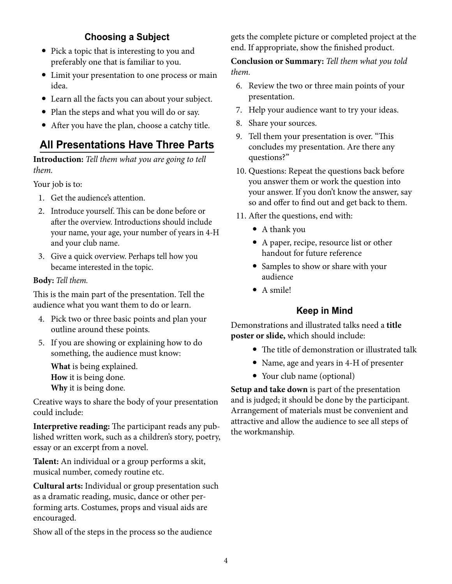#### **Choosing a Subject**

- Pick a topic that is interesting to you and preferably one that is familiar to you.
- Limit your presentation to one process or main idea.
- Learn all the facts you can about your subject.
- Plan the steps and what you will do or say.
- After you have the plan, choose a catchy title.

#### **All Presentations Have Three Parts**

**Introduction:** *Tell them what you are going to tell them.*

Your job is to:

- 1. Get the audience's attention.
- 2. Introduce yourself. This can be done before or after the overview. Introductions should include your name, your age, your number of years in 4-H and your club name.
- 3. Give a quick overview. Perhaps tell how you became interested in the topic.

#### **Body:** *Tell them.*

This is the main part of the presentation. Tell the audience what you want them to do or learn.

- 4. Pick two or three basic points and plan your outline around these points.
- 5. If you are showing or explaining how to do something, the audience must know:

**What** is being explained. **How** it is being done. **Why** it is being done.

Creative ways to share the body of your presentation could include:

**Interpretive reading:** The participant reads any published written work, such as a children's story, poetry, essay or an excerpt from a novel.

**Talent:** An individual or a group performs a skit, musical number, comedy routine etc.

**Cultural arts:** Individual or group presentation such as a dramatic reading, music, dance or other performing arts. Costumes, props and visual aids are encouraged.

Show all of the steps in the process so the audience

gets the complete picture or completed project at the end. If appropriate, show the finished product.

**Conclusion or Summary:** *Tell them what you told them.*

- 6. Review the two or three main points of your presentation.
- 7. Help your audience want to try your ideas.
- 8. Share your sources.
- 9. Tell them your presentation is over. "This concludes my presentation. Are there any questions?"
- 10. Questions: Repeat the questions back before you answer them or work the question into your answer. If you don't know the answer, say so and offer to find out and get back to them.
- 11. After the questions, end with:
	- A thank you
	- A paper, recipe, resource list or other handout for future reference
	- Samples to show or share with your audience
	- A smile!

#### **Keep in Mind**

Demonstrations and illustrated talks need a **title poster or slide,** which should include:

- The title of demonstration or illustrated talk
- Name, age and years in 4-H of presenter
- Your club name (optional)

**Setup and take down** is part of the presentation and is judged; it should be done by the participant. Arrangement of materials must be convenient and attractive and allow the audience to see all steps of the workmanship.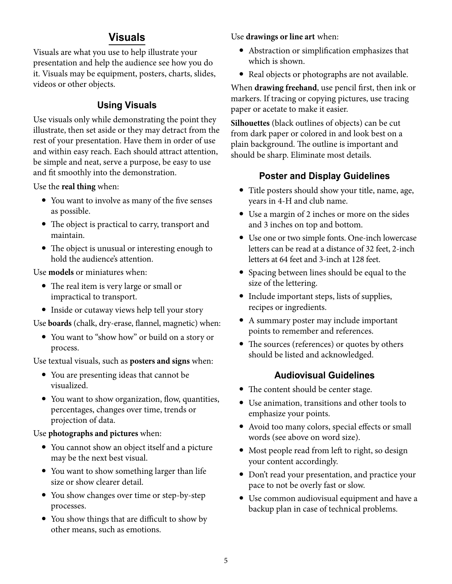#### **Visuals**

Visuals are what you use to help illustrate your presentation and help the audience see how you do it. Visuals may be equipment, posters, charts, slides, videos or other objects.

#### **Using Visuals**

Use visuals only while demonstrating the point they illustrate, then set aside or they may detract from the rest of your presentation. Have them in order of use and within easy reach. Each should attract attention, be simple and neat, serve a purpose, be easy to use and fit smoothly into the demonstration.

Use the **real thing** when:

- You want to involve as many of the five senses as possible.
- The object is practical to carry, transport and maintain.
- The object is unusual or interesting enough to hold the audience's attention.

Use **models** or miniatures when:

- The real item is very large or small or impractical to transport.
- Inside or cutaway views help tell your story

Use **boards** (chalk, dry-erase, flannel, magnetic) when:

 You want to "show how" or build on a story or process.

Use textual visuals, such as **posters and signs** when:

- You are presenting ideas that cannot be visualized.
- You want to show organization, flow, quantities, percentages, changes over time, trends or projection of data.

#### Use **photographs and pictures** when:

- You cannot show an object itself and a picture may be the next best visual.
- You want to show something larger than life size or show clearer detail.
- You show changes over time or step-by-step processes.
- You show things that are difficult to show by other means, such as emotions.

Use **drawings or line art** when:

- Abstraction or simplification emphasizes that which is shown.
- Real objects or photographs are not available.

When **drawing freehand**, use pencil first, then ink or markers. If tracing or copying pictures, use tracing paper or acetate to make it easier.

**Silhouettes** (black outlines of objects) can be cut from dark paper or colored in and look best on a plain background. The outline is important and should be sharp. Eliminate most details.

#### **Poster and Display Guidelines**

- Title posters should show your title, name, age, years in 4-H and club name.
- Use a margin of 2 inches or more on the sides and 3 inches on top and bottom.
- Use one or two simple fonts. One-inch lowercase letters can be read at a distance of 32 feet, 2-inch letters at 64 feet and 3-inch at 128 feet.
- Spacing between lines should be equal to the size of the lettering.
- Include important steps, lists of supplies, recipes or ingredients.
- A summary poster may include important points to remember and references.
- The sources (references) or quotes by others should be listed and acknowledged.

#### **Audiovisual Guidelines**

- The content should be center stage.
- Use animation, transitions and other tools to emphasize your points.
- Avoid too many colors, special effects or small words (see above on word size).
- Most people read from left to right, so design your content accordingly.
- Don't read your presentation, and practice your pace to not be overly fast or slow.
- Use common audiovisual equipment and have a backup plan in case of technical problems.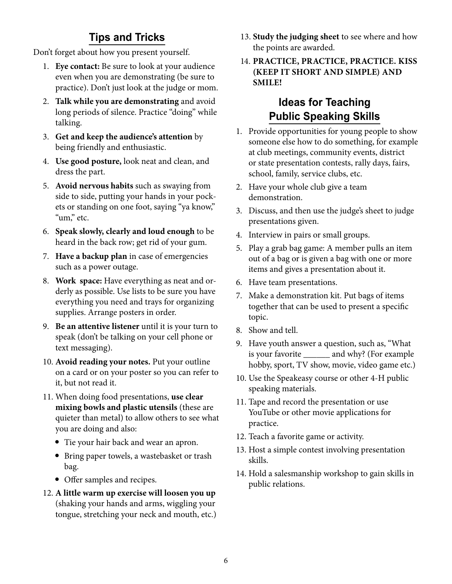#### **Tips and Tricks**

Don't forget about how you present yourself.

- 1. **Eye contact:** Be sure to look at your audience even when you are demonstrating (be sure to practice). Don't just look at the judge or mom.
- 2. **Talk while you are demonstrating** and avoid long periods of silence. Practice "doing" while talking.
- 3. **Get and keep the audience's attention** by being friendly and enthusiastic.
- 4. **Use good posture,** look neat and clean, and dress the part.
- 5. **Avoid nervous habits** such as swaying from side to side, putting your hands in your pockets or standing on one foot, saying "ya know," "um," etc.
- 6. **Speak slowly, clearly and loud enough** to be heard in the back row; get rid of your gum.
- 7. **Have a backup plan** in case of emergencies such as a power outage.
- 8. **Work space:** Have everything as neat and orderly as possible. Use lists to be sure you have everything you need and trays for organizing supplies. Arrange posters in order.
- 9. **Be an attentive listener** until it is your turn to speak (don't be talking on your cell phone or text messaging).
- 10. **Avoid reading your notes.** Put your outline on a card or on your poster so you can refer to it, but not read it.
- 11. When doing food presentations, **use clear mixing bowls and plastic utensils** (these are quieter than metal) to allow others to see what you are doing and also:
	- Tie your hair back and wear an apron.
	- Bring paper towels, a wastebasket or trash bag.
	- Offer samples and recipes.
- 12. **A little warm up exercise will loosen you up** (shaking your hands and arms, wiggling your tongue, stretching your neck and mouth, etc.)
- 13. **Study the judging sheet** to see where and how the points are awarded.
- 14. **PRACTICE, PRACTICE, PRACTICE. KISS (KEEP IT SHORT AND SIMPLE) AND SMILE!**

#### **Ideas for Teaching Public Speaking Skills**

- 1. Provide opportunities for young people to show someone else how to do something, for example at club meetings, community events, district or state presentation contests, rally days, fairs, school, family, service clubs, etc.
- 2. Have your whole club give a team demonstration.
- 3. Discuss, and then use the judge's sheet to judge presentations given.
- 4. Interview in pairs or small groups.
- 5. Play a grab bag game: A member pulls an item out of a bag or is given a bag with one or more items and gives a presentation about it.
- 6. Have team presentations.
- 7. Make a demonstration kit. Put bags of items together that can be used to present a specific topic.
- 8. Show and tell.
- 9. Have youth answer a question, such as, "What is your favorite \_\_\_\_\_\_ and why? (For example hobby, sport, TV show, movie, video game etc.)
- 10. Use the Speakeasy course or other 4-H public speaking materials.
- 11. Tape and record the presentation or use YouTube or other movie applications for practice.
- 12. Teach a favorite game or activity.
- 13. Host a simple contest involving presentation skills.
- 14. Hold a salesmanship workshop to gain skills in public relations.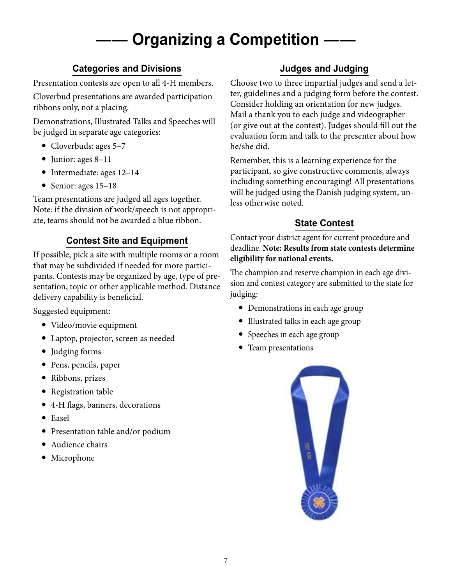# **Organizing a Competition -**

#### **Categories and Divisions**

Presentation contests are open to all 4-H members.

Cloverbud presentations are awarded participation ribbons only, not a placing.

Demonstrations, Illustrated Talks and Speeches will be judged in separate age categories:

- Cloverbuds: ages 5-7
- Junior: ages 8-11
- Intermediate: ages 12-14
- Senior: ages  $15-18$

Team presentations are judged all ages together. Note: if the division of work/speech is not appropriate, teams should not be awarded a blue ribbon.

#### **Contest Site and Equipment**

If possible, pick a site with multiple rooms or a room that may be subdivided if needed for more participants. Contests may be organized by age, type of presentation, topic or other applicable method. Distance delivery capability is beneficial.

Suggested equipment:

- Video/movie equipment
- Laptop, projector, screen as needed
- Judging forms
- Pens, pencils, paper
- Ribbons, prizes
- Registration table
- 4-H flags, banners, decorations
- Easel
- Presentation table and/or podium
- Audience chairs
- Microphone

#### **Judges and Judging**

Choose two to three impartial judges and send a letter, guidelines and a judging form before the contest. Consider holding an orientation for new judges. Mail a thank you to each judge and videographer (or give out at the contest). Judges should fill out the evaluation form and talk to the presenter about how he/she did.

Remember, this is a learning experience for the participant, so give constructive comments, always including something encouraging! All presentations will be judged using the Danish judging system, unless otherwise noted.

#### **State Contest**

Contact your district agent for current procedure and deadline. **Note: Results from state contests determine eligibility for national events.** 

The champion and reserve champion in each age division and contest category are submitted to the state for judging:

- Demonstrations in each age group
- Illustrated talks in each age group
- Speeches in each age group
- Team presentations

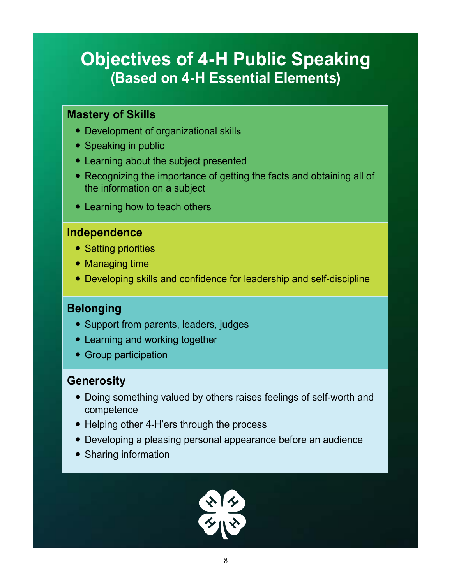# **Objectives of 4-H Public Speaking (Based on 4-H Essential Elements)**

#### **Mastery of Skills**

- Development of organizational skill**s**
- Speaking in public
- Learning about the subject presented
- Recognizing the importance of getting the facts and obtaining all of the information on a subject
- Learning how to teach others

#### **Independence**

- Setting priorities
- Managing time
- Developing skills and confidence for leadership and self-discipline

#### **Belonging**

- Support from parents, leaders, judges
- Learning and working together
- Group participation

#### **Generosity**

- Doing something valued by others raises feelings of self-worth and competence
- Helping other 4-H'ers through the process
- Developing a pleasing personal appearance before an audience
- Sharing information

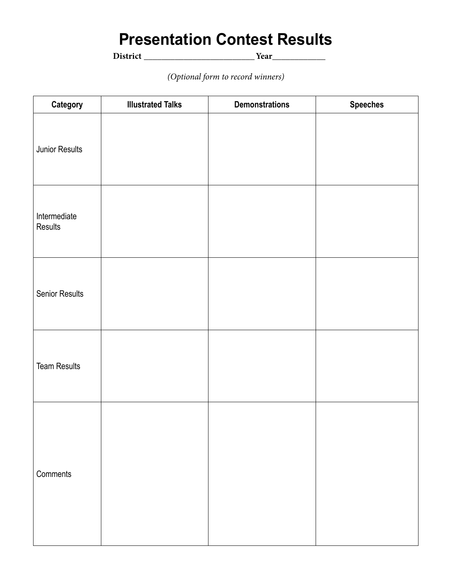# **Presentation Contest Results**

**District \_\_\_\_\_\_\_\_\_\_\_\_\_\_\_\_\_\_\_\_\_\_\_\_\_Year\_\_\_\_\_\_\_\_\_\_\_\_**

*(Optional form to record winners)* 

| Category                | <b>Illustrated Talks</b> | <b>Demonstrations</b> | <b>Speeches</b> |
|-------------------------|--------------------------|-----------------------|-----------------|
| Junior Results          |                          |                       |                 |
| Intermediate<br>Results |                          |                       |                 |
| Senior Results          |                          |                       |                 |
| <b>Team Results</b>     |                          |                       |                 |
| Comments                |                          |                       |                 |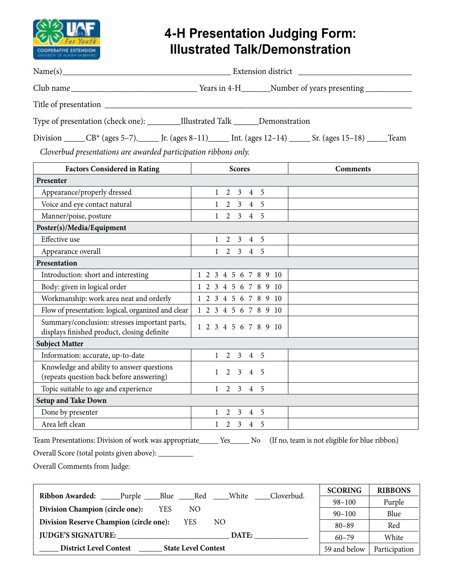

# **4-H Presentation Judging Form: Illustrated Talk/Demonstration**

| Name(s)                                                                         | Extension district |  |  |                                                                                                                             |  |
|---------------------------------------------------------------------------------|--------------------|--|--|-----------------------------------------------------------------------------------------------------------------------------|--|
|                                                                                 |                    |  |  | Years in 4-H_________Number of years presenting _________________________________                                           |  |
|                                                                                 |                    |  |  |                                                                                                                             |  |
| Type of presentation (check one): _________Illustrated Talk ______Demonstration |                    |  |  |                                                                                                                             |  |
|                                                                                 |                    |  |  | Division ______ CB <sup>*</sup> (ages 5–7). _____ Jr. (ages 8–11)______ Int. (ages 12–14) _____ Sr. (ages 15–18) _____ Team |  |
| Cloverbud presentations are awarded participation ribbons only.                 |                    |  |  |                                                                                                                             |  |

| <b>Factors Considered in Rating</b>                                                          | <b>Scores</b>                                                | <b>Comments</b> |
|----------------------------------------------------------------------------------------------|--------------------------------------------------------------|-----------------|
| Presenter                                                                                    |                                                              |                 |
| Appearance/properly dressed                                                                  | 3<br>$\overline{4}$<br>.5<br>$\overline{2}$                  |                 |
| Voice and eye contact natural                                                                | $\mathfrak{Z}$<br>5<br>2<br>$\overline{4}$                   |                 |
| Manner/poise, posture                                                                        | $\overline{3}$<br>5<br>$\overline{2}$<br>$\overline{4}$      |                 |
| Poster(s)/Media/Equipment                                                                    |                                                              |                 |
| Effective use                                                                                | 5<br>$\overline{2}$<br>3<br>$\overline{4}$                   |                 |
| Appearance overall                                                                           | $\overline{3}$<br>$\overline{2}$<br>5<br>$\overline{4}$      |                 |
| Presentation                                                                                 |                                                              |                 |
| Introduction: short and interesting                                                          | 6 7 8 9 10<br>4 5<br>2<br>3                                  |                 |
| Body: given in logical order                                                                 | 4 5 6 7 8 9 10<br>$\overline{3}$<br>2                        |                 |
| Workmanship: work area neat and orderly                                                      | 1 2 3 4 5 6 7 8 9 10                                         |                 |
| Flow of presentation: logical, organized and clear                                           | 1 2 3 4 5 6 7 8 9 10                                         |                 |
| Summary/conclusion: stresses important parts,<br>displays finished product, closing definite | 1 2 3 4 5 6 7 8 9 10                                         |                 |
| <b>Subject Matter</b>                                                                        |                                                              |                 |
| Information: accurate, up-to-date                                                            | $\mathfrak{Z}$<br>2<br>$\overline{4}$<br>-5                  |                 |
| Knowledge and ability to answer questions<br>(repeats question back before answering)        | 3<br>$\mathcal{D}_{\mathcal{L}}$<br>5<br>$\overline{4}$      |                 |
| Topic suitable to age and experience                                                         | 5<br>$\overline{2}$<br>$\mathfrak{Z}$<br>1<br>$\overline{4}$ |                 |
| <b>Setup and Take Down</b>                                                                   |                                                              |                 |
| Done by presenter                                                                            | 3<br>5<br>4                                                  |                 |
| Area left clean                                                                              | 3<br>5<br>$\overline{2}$<br>$\overline{4}$                   |                 |

Team Presentations: Division of work was appropriate\_\_\_\_\_ Yes\_\_\_\_\_ No (If no, team is not eligible for blue ribbon)

Overall Score (total points given above): \_\_\_\_\_\_\_\_\_

Overall Comments from Judge:

| Ribbon Awarded: Purple Blue Red                             |  |            |            |              | White         | Cloverbud. | <b>SCORING</b> | <b>RIBBONS</b> |
|-------------------------------------------------------------|--|------------|------------|--------------|---------------|------------|----------------|----------------|
|                                                             |  |            |            |              |               |            | $98 - 100$     | Purple         |
| Division Champion (circle one):                             |  | <b>YES</b> | NO.        |              |               |            | $90 - 100$     | Blue           |
| Division Reserve Champion (circle one):                     |  |            | <b>YES</b> | NO.          |               |            | $80 - 89$      | Red            |
| <b>JUDGE'S SIGNATURE:</b>                                   |  |            |            |              | DATE:         |            | $60 - 79$      | White          |
| <b>District Level Contest</b><br><b>State Level Contest</b> |  |            |            | 59 and below | Participation |            |                |                |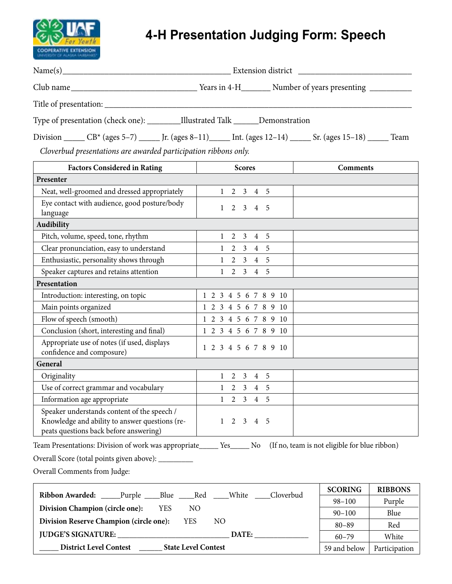

# **4-H Presentation Judging Form: Speech**

|                                                                                                                                                                                    |  | Years in 4-H__________ Number of years presenting _______________________________ |  |  |  |
|------------------------------------------------------------------------------------------------------------------------------------------------------------------------------------|--|-----------------------------------------------------------------------------------|--|--|--|
|                                                                                                                                                                                    |  |                                                                                   |  |  |  |
| Type of presentation (check one): ___________Illustrated Talk _______Demonstration                                                                                                 |  |                                                                                   |  |  |  |
| Division ______ CB* (ages 5–7) ______ Jr. (ages 8–11) _____ Int. (ages 12–14) _____ Sr. (ages 15–18) _____ Team<br>Cloverbud presentations are awarded participation ribbons only. |  |                                                                                   |  |  |  |
| <b>Factors Considered in Rating</b><br><b>Scores</b><br><b>Comments</b><br><b>Contract Contract Contract</b>                                                                       |  |                                                                                   |  |  |  |
| Presenter                                                                                                                                                                          |  |                                                                                   |  |  |  |
| Next unll groomed and dressed environmentally $\begin{bmatrix} 1 & 2 & 3 & 4 \end{bmatrix}$                                                                                        |  |                                                                                   |  |  |  |

| Neat, well-groomed and dressed appropriately                                                                                            | 2<br>$\overline{3}$<br>$\overline{4}$<br>-5             |
|-----------------------------------------------------------------------------------------------------------------------------------------|---------------------------------------------------------|
| Eye contact with audience, good posture/body<br>language                                                                                | $\overline{2}$<br>$3 \quad 4$<br>-5                     |
| <b>Audibility</b>                                                                                                                       |                                                         |
| Pitch, volume, speed, tone, rhythm                                                                                                      | .5<br>2<br>$\overline{3}$<br>$\overline{4}$             |
| Clear pronunciation, easy to understand                                                                                                 | $\mathfrak{Z}$<br>-5<br>2<br>$\overline{4}$             |
| Enthusiastic, personality shows through                                                                                                 | $\overline{2}$<br>$\mathfrak{Z}$<br>$\overline{4}$<br>5 |
| Speaker captures and retains attention                                                                                                  | $\mathfrak{Z}$<br>$\overline{2}$<br>$\overline{4}$<br>5 |
| Presentation                                                                                                                            |                                                         |
| Introduction: interesting, on topic                                                                                                     | 3 4 5 6 7 8 9 10<br>$1\quad2$                           |
| Main points organized                                                                                                                   | 1 2 3 4 5 6 7 8 9 10                                    |
| Flow of speech (smooth)                                                                                                                 | $1\ 2\ 3\ 4\ 5\ 6\ 7\ 8\ 9\ 10$                         |
| Conclusion (short, interesting and final)                                                                                               | 1 2 3 4 5 6 7 8 9 10                                    |
| Appropriate use of notes (if used, displays<br>confidence and composure)                                                                | 1 2 3 4 5 6 7 8 9 10                                    |
| General                                                                                                                                 |                                                         |
| Originality                                                                                                                             | 3<br>5<br>2<br>$\overline{4}$                           |
| Use of correct grammar and vocabulary                                                                                                   | $\mathfrak{Z}$<br>$\overline{2}$<br>$\overline{4}$<br>5 |
| Information age appropriate                                                                                                             | $\overline{2}$<br>$\mathfrak{Z}$<br>$\overline{4}$<br>5 |
| Speaker understands content of the speech /<br>Knowledge and ability to answer questions (re-<br>peats questions back before answering) | $\overline{4}$<br>$\overline{2}$<br>$\mathbf{3}$<br>-5  |

Team Presentations: Division of work was appropriate\_\_\_\_\_ Yes\_\_\_\_\_ No (If no, team is not eligible for blue ribbon)

Overall Score (total points given above): \_\_\_\_\_\_\_\_\_

Overall Comments from Judge:

Ē

| Cloverbud<br>White<br><b>Ribbon Awarded:</b>                 | <b>SCORING</b> | <b>RIBBONS</b> |
|--------------------------------------------------------------|----------------|----------------|
| _____Purple ____Blue ____Red                                 | $98 - 100$     | Purple         |
| Division Champion (circle one):<br><b>YES</b><br>NO.         | $90 - 100$     | Blue           |
| Division Reserve Champion (circle one):<br><b>YES</b><br>NO. | $80 - 89$      | Red            |
| <b>JUDGE'S SIGNATURE:</b><br>DATE:                           | $60 - 79$      | White          |
| <b>District Level Contest</b><br><b>State Level Contest</b>  | 59 and below   | Participation  |